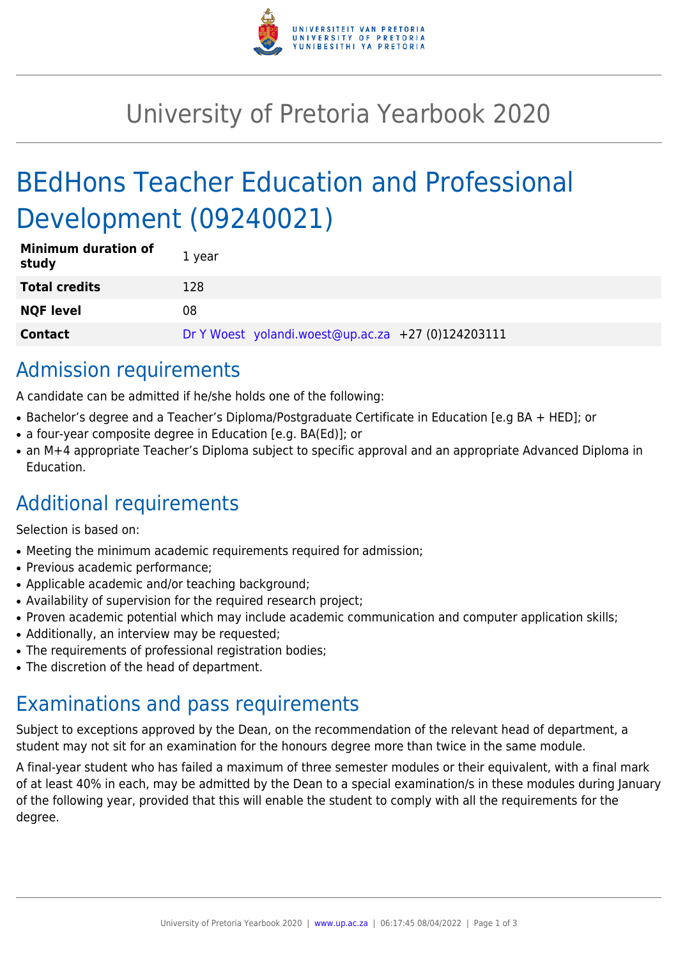

## University of Pretoria Yearbook 2020

# BEdHons Teacher Education and Professional Development (09240021)

| <b>Minimum duration of</b><br>study | 1 year                                             |
|-------------------------------------|----------------------------------------------------|
| <b>Total credits</b>                | 128                                                |
| <b>NQF level</b>                    | 08                                                 |
| <b>Contact</b>                      | Dr Y Woest yolandi.woest@up.ac.za +27 (0)124203111 |

## Admission requirements

A candidate can be admitted if he/she holds one of the following:

- Bachelor's degree and a Teacher's Diploma/Postgraduate Certificate in Education [e.g BA + HED]; or
- a four-year composite degree in Education [e.g. BA(Ed)]; or
- an M+4 appropriate Teacher's Diploma subject to specific approval and an appropriate Advanced Diploma in Education.

## Additional requirements

Selection is based on:

- Meeting the minimum academic requirements required for admission;
- Previous academic performance:
- Applicable academic and/or teaching background;
- Availability of supervision for the required research project;
- Proven academic potential which may include academic communication and computer application skills;
- Additionally, an interview may be requested;
- The requirements of professional registration bodies;
- The discretion of the head of department.

### Examinations and pass requirements

Subject to exceptions approved by the Dean, on the recommendation of the relevant head of department, a student may not sit for an examination for the honours degree more than twice in the same module.

A final-year student who has failed a maximum of three semester modules or their equivalent, with a final mark of at least 40% in each, may be admitted by the Dean to a special examination/s in these modules during January of the following year, provided that this will enable the student to comply with all the requirements for the degree.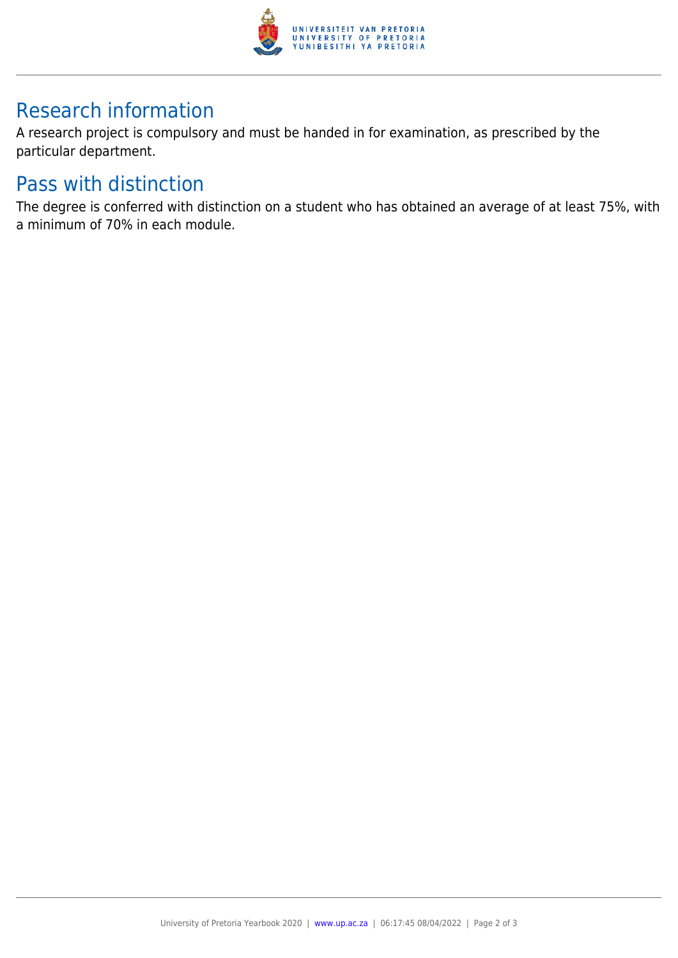

## Research information

A research project is compulsory and must be handed in for examination, as prescribed by the particular department.

#### Pass with distinction

The degree is conferred with distinction on a student who has obtained an average of at least 75%, with a minimum of 70% in each module.